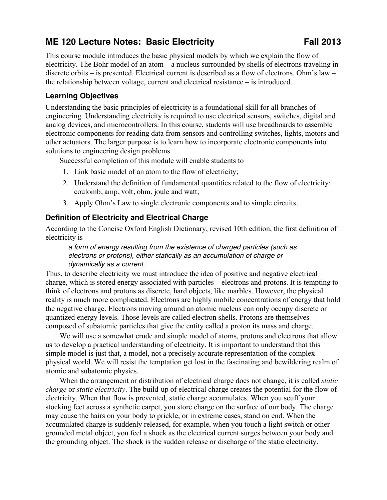# **ME 120 Lecture Notes: Basic Electricity Fall 2013**

This course module introduces the basic physical models by which we explain the flow of electricity. The Bohr model of an atom – a nucleus surrounded by shells of electrons traveling in discrete orbits – is presented. Electrical current is described as a flow of electrons. Ohm's law – the relationship between voltage, current and electrical resistance – is introduced.

# **Learning Objectives**

Understanding the basic principles of electricity is a foundational skill for all branches of engineering. Understanding electricity is required to use electrical sensors, switches, digital and analog devices, and microcontrollers. In this course, students will use breadboards to assemble electronic components for reading data from sensors and controlling switches, lights, motors and other actuators. The larger purpose is to learn how to incorporate electronic components into solutions to engineering design problems.

Successful completion of this module will enable students to

- 1. Link basic model of an atom to the flow of electricity;
- 2. Understand the definition of fundamental quantities related to the flow of electricity: coulomb, amp, volt, ohm, joule and watt;
- 3. Apply Ohm's Law to single electronic components and to simple circuits.

# **Definition of Electricity and Electrical Charge**

According to the Concise Oxford English Dictionary, revised 10th edition, the first definition of electricity is

### *a form of energy resulting from the existence of charged particles (such as electrons or protons), either statically as an accumulation of charge or dynamically as a current.*

Thus, to describe electricity we must introduce the idea of positive and negative electrical charge, which is stored energy associated with particles – electrons and protons. It is tempting to think of electrons and protons as discrete, hard objects, like marbles. However, the physical reality is much more complicated. Electrons are highly mobile concentrations of energy that hold the negative charge. Electrons moving around an atomic nucleus can only occupy discrete or quantized energy levels. Those levels are called electron shells. Protons are themselves composed of subatomic particles that give the entity called a proton its mass and charge.

We will use a somewhat crude and simple model of atoms, protons and electrons that allow us to develop a practical understanding of electricity. It is important to understand that this simple model is just that, a model, not a precisely accurate representation of the complex physical world. We will resist the temptation get lost in the fascinating and bewildering realm of atomic and subatomic physics.

When the arrangement or distribution of electrical charge does not change, it is called *static charge* or *static electricity*. The build-up of electrical charge creates the potential for the flow of electricity. When that flow is prevented, static charge accumulates. When you scuff your stocking feet across a synthetic carpet, you store charge on the surface of our body. The charge may cause the hairs on your body to prickle, or in extreme cases, stand on end. When the accumulated charge is suddenly released, for example, when you touch a light switch or other grounded metal object, you feel a shock as the electrical current surges between your body and the grounding object. The shock is the sudden release or discharge of the static electricity.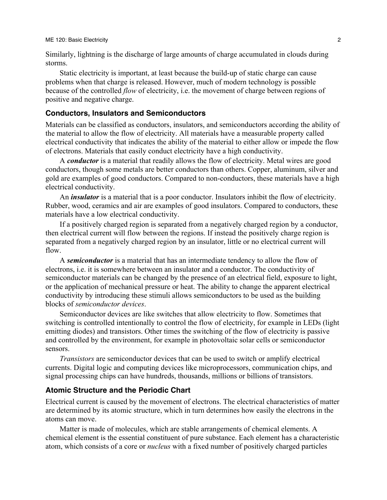Similarly, lightning is the discharge of large amounts of charge accumulated in clouds during storms.

Static electricity is important, at least because the build-up of static charge can cause problems when that charge is released. However, much of modern technology is possible because of the controlled *flow* of electricity, i.e. the movement of charge between regions of positive and negative charge.

### **Conductors, Insulators and Semiconductors**

Materials can be classified as conductors, insulators, and semiconductors according the ability of the material to allow the flow of electricity. All materials have a measurable property called electrical conductivity that indicates the ability of the material to either allow or impede the flow of electrons. Materials that easily conduct electricity have a high conductivity.

A *conductor* is a material that readily allows the flow of electricity. Metal wires are good conductors, though some metals are better conductors than others. Copper, aluminum, silver and gold are examples of good conductors. Compared to non-conductors, these materials have a high electrical conductivity.

An *insulator* is a material that is a poor conductor. Insulators inhibit the flow of electricity. Rubber, wood, ceramics and air are examples of good insulators. Compared to conductors, these materials have a low electrical conductivity.

If a positively charged region is separated from a negatively charged region by a conductor, then electrical current will flow between the regions. If instead the positively charge region is separated from a negatively charged region by an insulator, little or no electrical current will flow.

A *semiconductor* is a material that has an intermediate tendency to allow the flow of electrons, i.e. it is somewhere between an insulator and a conductor. The conductivity of semiconductor materials can be changed by the presence of an electrical field, exposure to light, or the application of mechanical pressure or heat. The ability to change the apparent electrical conductivity by introducing these stimuli allows semiconductors to be used as the building blocks of *semiconductor devices*.

Semiconductor devices are like switches that allow electricity to flow. Sometimes that switching is controlled intentionally to control the flow of electricity, for example in LEDs (light emitting diodes) and transistors. Other times the switching of the flow of electricity is passive and controlled by the environment, for example in photovoltaic solar cells or semiconductor sensors.

*Transistors* are semiconductor devices that can be used to switch or amplify electrical currents. Digital logic and computing devices like microprocessors, communication chips, and signal processing chips can have hundreds, thousands, millions or billions of transistors.

## **Atomic Structure and the Periodic Chart**

Electrical current is caused by the movement of electrons. The electrical characteristics of matter are determined by its atomic structure, which in turn determines how easily the electrons in the atoms can move.

Matter is made of molecules, which are stable arrangements of chemical elements. A chemical element is the essential constituent of pure substance. Each element has a characteristic atom, which consists of a core or *nucleus* with a fixed number of positively charged particles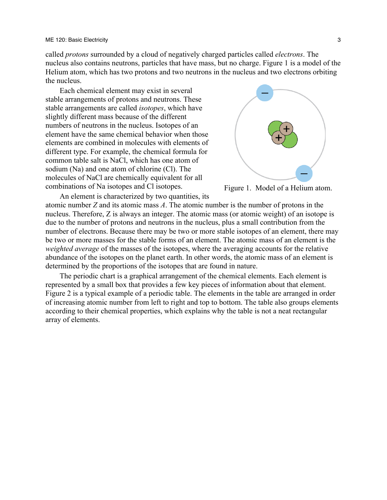called *protons* surrounded by a cloud of negatively charged particles called *electrons*. The nucleus also contains neutrons, particles that have mass, but no charge. Figure 1 is a model of the Helium atom, which has two protons and two neutrons in the nucleus and two electrons orbiting the nucleus.

Each chemical element may exist in several stable arrangements of protons and neutrons. These stable arrangements are called *isotopes*, which have slightly different mass because of the different numbers of neutrons in the nucleus. Isotopes of an element have the same chemical behavior when those elements are combined in molecules with elements of different type. For example, the chemical formula for common table salt is NaCl, which has one atom of sodium (Na) and one atom of chlorine (Cl). The molecules of NaCl are chemically equivalent for all combinations of Na isotopes and Cl isotopes.



Figure 1. Model of a Helium atom.

An element is characterized by two quantities, its atomic number *Z* and its atomic mass *A*. The atomic number is the number of protons in the nucleus. Therefore, Z is always an integer. The atomic mass (or atomic weight) of an isotope is due to the number of protons and neutrons in the nucleus, plus a small contribution from the number of electrons. Because there may be two or more stable isotopes of an element, there may be two or more masses for the stable forms of an element. The atomic mass of an element is the *weighted average* of the masses of the isotopes, where the averaging accounts for the relative abundance of the isotopes on the planet earth. In other words, the atomic mass of an element is determined by the proportions of the isotopes that are found in nature.

The periodic chart is a graphical arrangement of the chemical elements. Each element is represented by a small box that provides a few key pieces of information about that element. Figure 2 is a typical example of a periodic table. The elements in the table are arranged in order of increasing atomic number from left to right and top to bottom. The table also groups elements according to their chemical properties, which explains why the table is not a neat rectangular array of elements.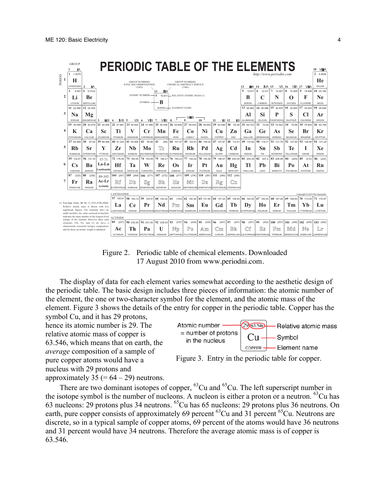

Figure 2. Periodic table of chemical elements. Downloaded 17 August 2010 from www.periodni.com.

The display of data for each element varies somewhat according to the aesthetic design of the periodic table. The basic design includes three pieces of information: the atomic number of the element, the one or two-character symbol for the element, and the atomic mass of the element. Figure 3 shows the details of the entry for copper in the periodic table. Copper has the symbol Cu, and it has 29 protons,

hence its atomic number is 29. The relative atomic mass of copper is 63.546, which means that on earth, the *average* composition of a sample of pure copper atoms would have a nucleus with 29 protons and approximately 35 (=  $64 - 29$ ) neutrons.





There are two dominant isotopes of copper,  ${}^{63}Cu$  and  ${}^{65}Cu$ . The left superscript number in the isotope symbol is the number of nucleons. A nucleon is either a proton or a neutron.  ${}^{63}Cu$  has 63 nucleons: 29 protons plus 34 neutrons. <sup>65</sup> Cu has 65 nucleons: 29 protons plus 36 neutrons. On earth, pure copper consists of approximately 69 percent <sup>63</sup>Cu and 31 percent <sup>65</sup>Cu. Neutrons are discrete, so in a typical sample of copper atoms, 69 percent of the atoms would have 36 neutrons and 31 percent would have 34 neutrons. Therefore the average atomic mass is of copper is 63.546.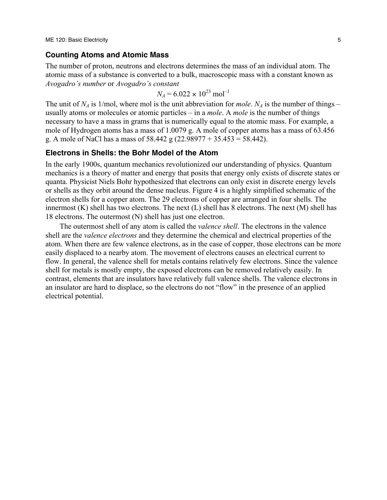#### **Counting Atoms and Atomic Mass**

The number of proton, neutrons and electrons determines the mass of an individual atom. The atomic mass of a substance is converted to a bulk, macroscopic mass with a constant known as *Avogadro's number* or *Avogadro's constant*

$$
N_A = 6.022 \times 10^{23} \text{ mol}^{-1}
$$

The unit of  $N_A$  is 1/mol, where mol is the unit abbreviation for *mole*.  $N_A$  is the number of things – usually atoms or molecules or atomic particles – in a *mole*. A *mole* is the number of things necessary to have a mass in grams that is numerically equal to the atomic mass. For example, a mole of Hydrogen atoms has a mass of 1.0079 g. A mole of copper atoms has a mass of 63.456 g. A mole of NaCl has a mass of 58.442 g (22.98977 + 35.453 = 58.442).

#### **Electrons in Shells: the Bohr Model of the Atom**

In the early 1900s, quantum mechanics revolutionized our understanding of physics. Quantum mechanics is a theory of matter and energy that posits that energy only exists of discrete states or quanta. Physicist Niels Bohr hypothesized that electrons can only exist in discrete energy levels or shells as they orbit around the dense nucleus. Figure 4 is a highly simplified schematic of the electron shells for a copper atom. The 29 electrons of copper are arranged in four shells. The innermost (K) shell has two electrons. The next (L) shell has 8 electrons. The next (M) shell has 18 electrons. The outermost (N) shell has just one electron.

The outermost shell of any atom is called the *valence shell*. The electrons in the valence shell are the *valence electrons* and they determine the chemical and electrical properties of the atom. When there are few valence electrons, as in the case of copper, those electrons can be more easily displaced to a nearby atom. The movement of electrons causes an electrical current to flow. In general, the valence shell for metals contains relatively few electrons. Since the valence shell for metals is mostly empty, the exposed electrons can be removed relatively easily. In contrast, elements that are insulators have relatively full valence shells. The valence electrons in an insulator are hard to displace, so the electrons do not "flow" in the presence of an applied electrical potential.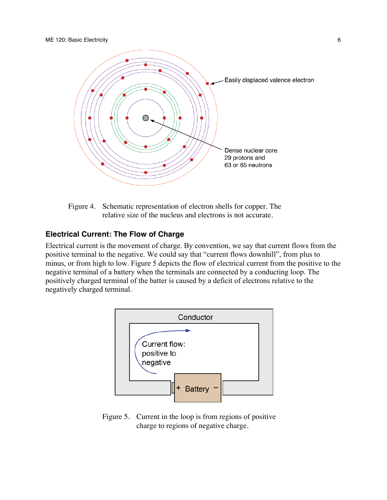



## **Electrical Current: The Flow of Charge**

Electrical current is the movement of charge. By convention, we say that current flows from the positive terminal to the negative. We could say that "current flows downhill", from plus to minus, or from high to low. Figure 5 depicts the flow of electrical current from the positive to the negative terminal of a battery when the terminals are connected by a conducting loop. The positively charged terminal of the batter is caused by a deficit of electrons relative to the negatively charged terminal.



Figure 5. Current in the loop is from regions of positive charge to regions of negative charge.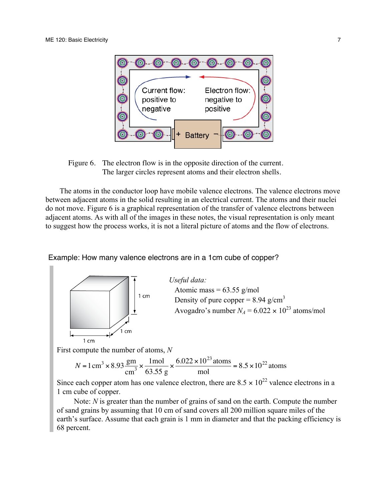

Figure 6. The electron flow is in the opposite direction of the current. The larger circles represent atoms and their electron shells.

The atoms in the conductor loop have mobile valence electrons. The valence electrons move between adjacent atoms in the solid resulting in an electrical current. The atoms and their nuclei do not move. Figure 6 is a graphical representation of the transfer of valence electrons between adjacent atoms. As with all of the images in these notes, the visual representation is only meant to suggest how the process works, it is not a literal picture of atoms and the flow of electrons.

Example: How many valence electrons are in a 1cm cube of copper?



*Useful data:* Atomic mass =  $63.55$  g/mol Density of pure copper =  $8.94$  g/cm<sup>3</sup> Avogadro's number  $N_A = 6.022 \times 10^{23}$  atoms/mol

First compute the number of atoms, *N*

$$
N = 1 \text{ cm}^3 \times 8.93 \frac{\text{gm}}{\text{cm}^3} \times \frac{1 \text{mol}}{63.55 \text{ g}} \times \frac{6.022 \times 10^{23} \text{ atoms}}{\text{mol}} = 8.5 \times 10^{22} \text{ atoms}
$$

Since each copper atom has one valence electron, there are  $8.5 \times 10^{22}$  valence electrons in a 1 cm cube of copper.

Note: *N* is greater than the number of grains of sand on the earth. Compute the number of sand grains by assuming that 10 cm of sand covers all 200 million square miles of the earth's surface. Assume that each grain is 1 mm in diameter and that the packing efficiency is 68 percent.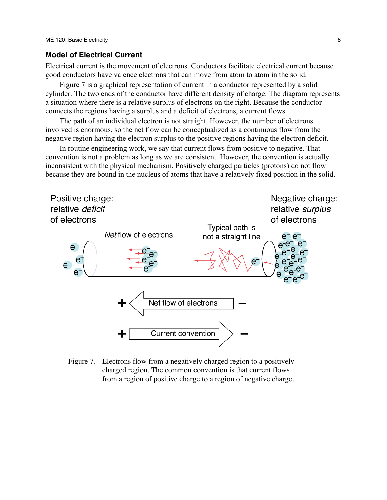#### **Model of Electrical Current**

Electrical current is the movement of electrons. Conductors facilitate electrical current because good conductors have valence electrons that can move from atom to atom in the solid.

Figure 7 is a graphical representation of current in a conductor represented by a solid cylinder. The two ends of the conductor have different density of charge. The diagram represents a situation where there is a relative surplus of electrons on the right. Because the conductor connects the regions having a surplus and a deficit of electrons, a current flows.

The path of an individual electron is not straight. However, the number of electrons involved is enormous, so the net flow can be conceptualized as a continuous flow from the negative region having the electron surplus to the positive regions having the electron deficit.

In routine engineering work, we say that current flows from positive to negative. That convention is not a problem as long as we are consistent. However, the convention is actually inconsistent with the physical mechanism. Positively charged particles (protons) do not flow because they are bound in the nucleus of atoms that have a relatively fixed position in the solid.



Figure 7. Electrons flow from a negatively charged region to a positively charged region. The common convention is that current flows from a region of positive charge to a region of negative charge.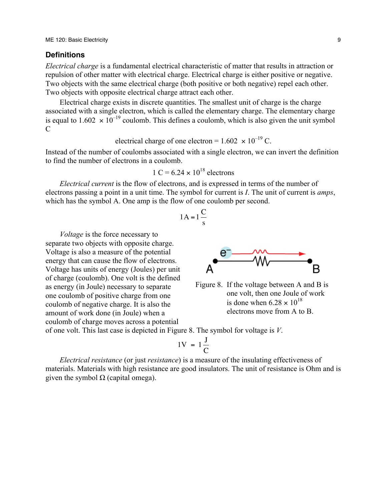#### **Definitions**

*Electrical charge* is a fundamental electrical characteristic of matter that results in attraction or repulsion of other matter with electrical charge. Electrical charge is either positive or negative. Two objects with the same electrical charge (both positive or both negative) repel each other. Two objects with opposite electrical charge attract each other.

Electrical charge exists in discrete quantities. The smallest unit of charge is the charge associated with a single electron, which is called the elementary charge. The elementary charge is equal to  $1.602 \times 10^{-19}$  coulomb. This defines a coulomb, which is also given the unit symbol  $\mathcal{C}$ 

# electrical charge of one electron =  $1.602 \times 10^{-19}$  C.

Instead of the number of coulombs associated with a single electron, we can invert the definition to find the number of electrons in a coulomb.

$$
1 \text{ C} = 6.24 \times 10^{18} \text{ electrons}
$$

*Electrical current* is the flow of electrons, and is expressed in terms of the number of electrons passing a point in a unit time. The symbol for current is *I*. The unit of current is *amps*, which has the symbol A. One amp is the flow of one coulomb per second.

$$
1A = 1\frac{C}{s}
$$

Voltage is also a measure of the potential *Voltage* is the force necessary to separate two objects with opposite charge. energy that can cause the flow of electrons. Voltage has units of energy (Joules) per unit of charge (coulomb). One volt is the defined as energy (in Joule) necessary to separate one coulomb of positive charge from one coulomb of negative charge. It is also the amount of work done (in Joule) when a coulomb of charge moves across a potential



Figure 8. If the voltage between A and B is one volt, then one Joule of work is done when  $6.28 \times 10^{18}$ electrons move from A to B.

of one volt. This last case is depicted in Figure 8. The symbol for voltage is *V*.

$$
1V = 1\frac{J}{C}
$$

 $\mathbf{S}^{\mu}$ *Electrical resistance* (or just *resistance*) is a measure of the insulating effectiveness of materials. Materials with high resistance are good insulators. The unit of resistance is Ohm and is given the symbol  $\Omega$  (capital omega).